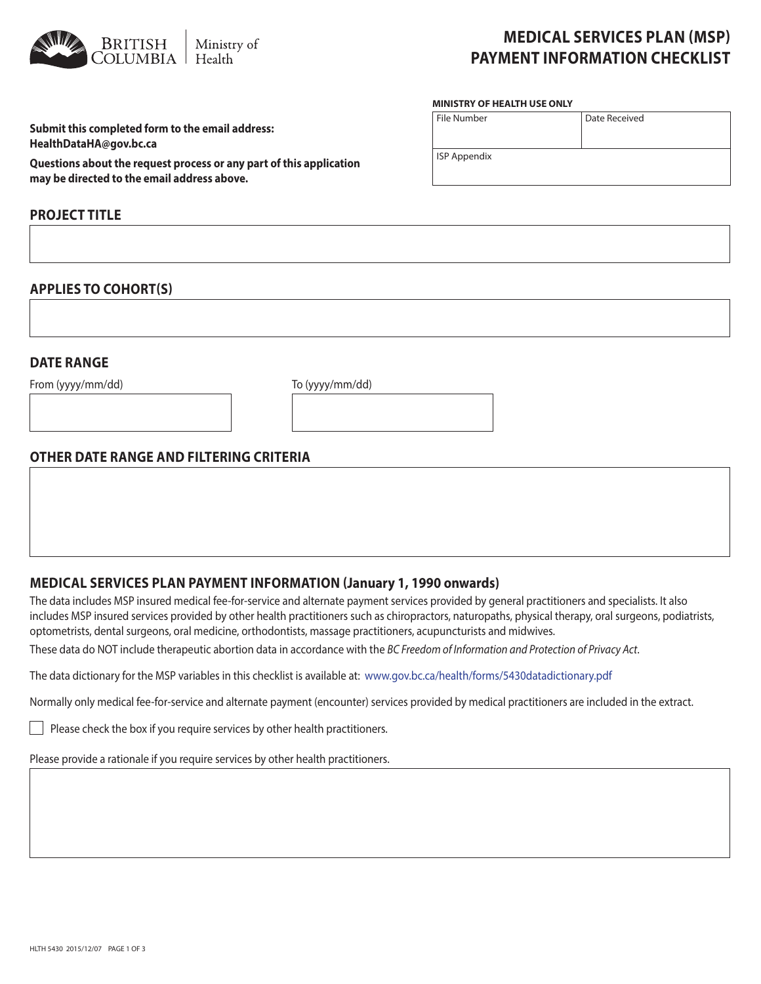

# **MEDICAL SERVICES PLAN (MSP) PAYMENT INFORMATION CHECKLIST**

#### **MINISTRY OF HEALTH USE ONLY**

| File Number         | Date Received |  |  |
|---------------------|---------------|--|--|
|                     |               |  |  |
| <b>ISP Appendix</b> |               |  |  |
|                     |               |  |  |

**Submit this completed form to the email address: HealthDataHA@gov.bc.ca** 

**Questions about the request process or any part of this application may be directed to the email address above.**

# **PROJECT TITLE**

### **APPLIES TO COHORT(S)**

## **DATE RANGE**

From (yyyy/mm/dd) To (yyyy/mm/dd)

# **OTHER DATE RANGE AND FILTERING CRITERIA**

# **MEDICAL SERVICES PLAN PAYMENT INFORMATION (January 1, 1990 onwards)**

The data includes MSP insured medical fee-for-service and alternate payment services provided by general practitioners and specialists. It also includes MSP insured services provided by other health practitioners such as chiropractors, naturopaths, physical therapy, oral surgeons, podiatrists, optometrists, dental surgeons, oral medicine, orthodontists, massage practitioners, acupuncturists and midwives.

These data do NOT include therapeutic abortion data in accordance with the *BC Freedom of Information and Protection of Privacy Act*.

The data dictionary for the MSP variables in this checklist is available at: www.gov.bc.ca/health/forms/5430datadictionary.pdf

Normally only medical fee-for-service and alternate payment (encounter) services provided by medical practitioners are included in the extract.

 $\Box$  Please check the box if you require services by other health practitioners.

Please provide a rationale if you require services by other health practitioners.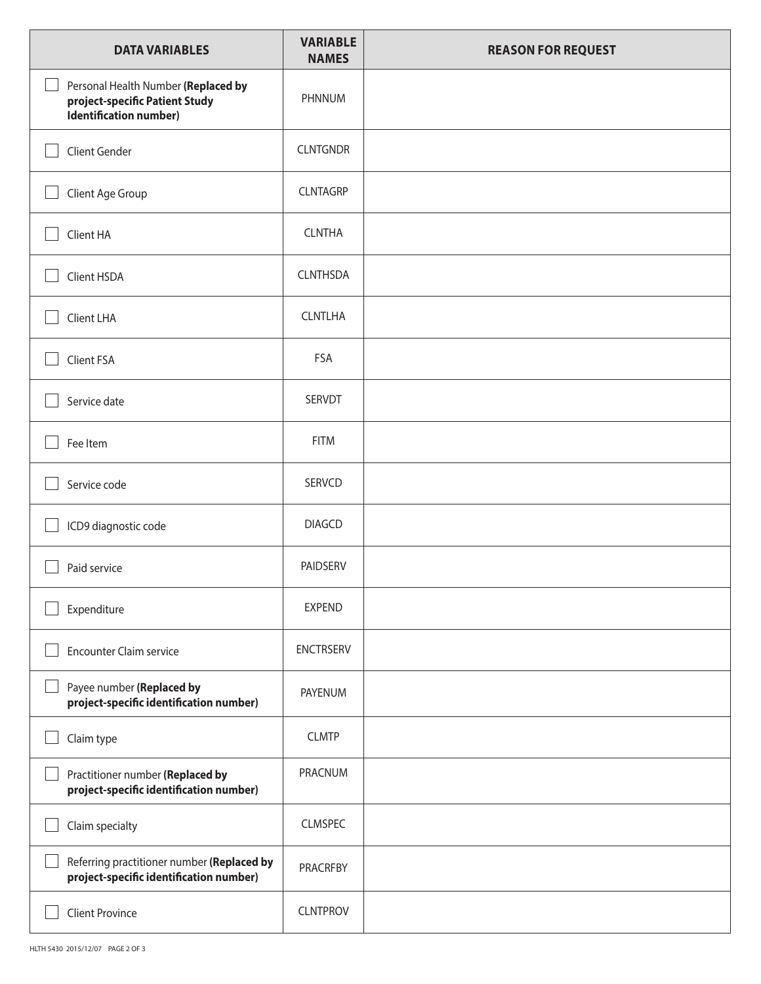| <b>DATA VARIABLES</b>                                                                           | <b>VARIABLE</b><br><b>NAMES</b> | <b>REASON FOR REQUEST</b> |
|-------------------------------------------------------------------------------------------------|---------------------------------|---------------------------|
| Personal Health Number (Replaced by<br>project-specific Patient Study<br>Identification number) | PHNNUM                          |                           |
| Client Gender                                                                                   | <b>CLNTGNDR</b>                 |                           |
| Client Age Group                                                                                | <b>CLNTAGRP</b>                 |                           |
| Client HA                                                                                       | <b>CLNTHA</b>                   |                           |
| Client HSDA                                                                                     | <b>CLNTHSDA</b>                 |                           |
| Client LHA                                                                                      | <b>CLNTLHA</b>                  |                           |
| Client FSA                                                                                      | FSA                             |                           |
| Service date                                                                                    | <b>SERVDT</b>                   |                           |
| Fee Item                                                                                        | <b>FITM</b>                     |                           |
| Service code                                                                                    | <b>SERVCD</b>                   |                           |
| ICD9 diagnostic code                                                                            | <b>DIAGCD</b>                   |                           |
| Paid service                                                                                    | <b>PAIDSERV</b>                 |                           |
| Expenditure                                                                                     | <b>EXPEND</b>                   |                           |
| <b>Encounter Claim service</b>                                                                  | <b>ENCTRSERV</b>                |                           |
| Payee number (Replaced by<br>project-specific identification number)                            | PAYENUM                         |                           |
| Claim type                                                                                      | <b>CLMTP</b>                    |                           |
| Practitioner number (Replaced by<br>project-specific identification number)                     | PRACNUM                         |                           |
| Claim specialty                                                                                 | <b>CLMSPEC</b>                  |                           |
| Referring practitioner number (Replaced by<br>project-specific identification number)           | <b>PRACRFBY</b>                 |                           |
| <b>Client Province</b>                                                                          | <b>CLNTPROV</b>                 |                           |